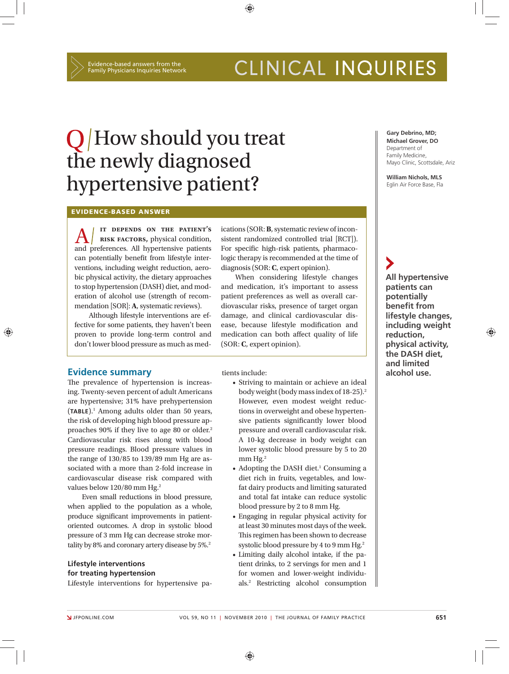$\bigcirc$ 

# CLINICAL INQUIRIES

# Q How should you treat the newly diagnosed hypertensive patient?

### **EVIDENCE-BASED ANSWER**

**A FOR THE PATIENT'S**<br> **A RISK FACTORS**, physical condition,<br>
and preferences. All hypertensive patients  **it depends on the patient's risk factors,** physical condition, can potentially benefit from lifestyle interventions, including weight reduction, aerobic physical activity, the dietary approaches to stop hypertension (DASH) diet, and moderation of alcohol use (strength of recommendation [SOR]: **A**, systematic reviews).

Although lifestyle interventions are effective for some patients, they haven't been proven to provide long-term control and don't lower blood pressure as much as medications (SOR: **B**, systematic review of inconsistent randomized controlled trial [RCT]). For specific high-risk patients, pharmacologic therapy is recommended at the time of diagnosis (SOR: **C**, expert opinion).

When considering lifestyle changes and medication, it's important to assess patient preferences as well as overall cardiovascular risks, presence of target organ damage, and clinical cardiovascular disease, because lifestyle modification and medication can both affect quality of life (SOR: **C**, expert opinion).

### **Evidence summary alcohol use. alcohol use. alcohol use. alcohol use.**

The prevalence of hypertension is increasing. Twenty-seven percent of adult Americans are hypertensive; 31% have prehypertension (**TABLE**).1 Among adults older than 50 years, the risk of developing high blood pressure approaches 90% if they live to age 80 or older.2 Cardiovascular risk rises along with blood pressure readings. Blood pressure values in the range of 130/85 to 139/89 mm Hg are associated with a more than 2-fold increase in cardiovascular disease risk compared with values below 120/80 mm Hg.<sup>2</sup>

Even small reductions in blood pressure, when applied to the population as a whole, produce significant improvements in patientoriented outcomes. A drop in systolic blood pressure of 3 mm Hg can decrease stroke mortality by 8% and coronary artery disease by 5%.<sup>2</sup>

### **Lifestyle interventions for treating hypertension**

Lifestyle interventions for hypertensive pa-

tients include:

- Striving to maintain or achieve an ideal body weight (body mass index of 18-25).2 However, even modest weight reductions in overweight and obese hypertensive patients significantly lower blood pressure and overall cardiovascular risk. A 10-kg decrease in body weight can lower systolic blood pressure by 5 to 20  $mm$  Hg.<sup>2</sup>
- Adopting the DASH diet.<sup>1</sup> Consuming a diet rich in fruits, vegetables, and lowfat dairy products and limiting saturated and total fat intake can reduce systolic blood pressure by 2 to 8 mm Hg.
- Engaging in regular physical activity for at least 30 minutes most days of the week. This regimen has been shown to decrease systolic blood pressure by 4 to 9 mm Hg.<sup>2</sup>
- Limiting daily alcohol intake, if the patient drinks, to 2 servings for men and 1 for women and lower-weight individuals.2 Restricting alcohol consumption

### **Gary Debrino, MD; Michael Grover, DO** Department of Family Medicine, Mayo Clinic, Scottsdale, Ariz

**William Nichols, MLS** Eglin Air Force Base, Fla

**All hypertensive patients can potentially benefit from lifestyle changes, including weight reduction, physical activity, the DASH diet, and limited** 

⊕

⊕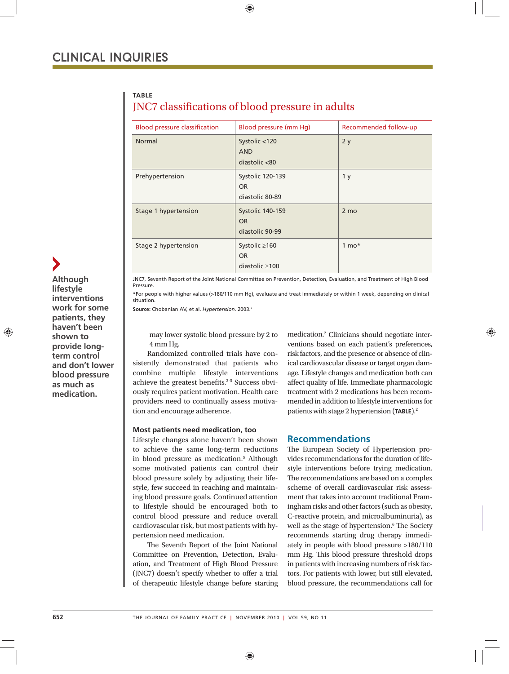**TABLE** 

## JNC7 classifications of blood pressure in adults

| <b>Blood pressure classification</b> | Blood pressure (mm Hq)                                   | Recommended follow-up |
|--------------------------------------|----------------------------------------------------------|-----------------------|
| Normal                               | Systolic <120<br><b>AND</b><br>diastolic <80             | 2y                    |
| Prehypertension                      | Systolic 120-139<br>OR.<br>diastolic 80-89               | 1 <sub>y</sub>        |
| Stage 1 hypertension                 | Systolic 140-159<br><b>OR</b><br>diastolic 90-99         | 2 mo                  |
| Stage 2 hypertension                 | Systolic $\geq 160$<br><b>OR</b><br>diastolic $\geq 100$ | $1 \text{ mo*}$       |

JNC7, Seventh Report of the Joint National Committee on Prevention, Detection, Evaluation, and Treatment of High Blood Pressure.

\*For people with higher values (>180/110 mm Hg), evaluate and treat immediately or within 1 week, depending on clinical situation.

Source: Chobanian AV, et al. *Hypertension*. 2003.<sup>2</sup>

may lower systolic blood pressure by 2 to 4 mm Hg.

Randomized controlled trials have consistently demonstrated that patients who combine multiple lifestyle interventions achieve the greatest benefits.<sup>3-5</sup> Success obviously requires patient motivation. Health care providers need to continually assess motivation and encourage adherence.

### **Most patients need medication, too**

Lifestyle changes alone haven't been shown to achieve the same long-term reductions in blood pressure as medication.5 Although some motivated patients can control their blood pressure solely by adjusting their lifestyle, few succeed in reaching and maintaining blood pressure goals. Continued attention to lifestyle should be encouraged both to control blood pressure and reduce overall cardiovascular risk, but most patients with hypertension need medication.

The Seventh Report of the Joint National Committee on Prevention, Detection, Evaluation, and Treatment of High Blood Pressure (JNC7) doesn't specify whether to offer a trial of therapeutic lifestyle change before starting

medication.2 Clinicians should negotiate interventions based on each patient's preferences, risk factors, and the presence or absence of clinical cardiovascular disease or target organ damage. Lifestyle changes and medication both can affect quality of life. Immediate pharmacologic treatment with 2 medications has been recommended in addition to lifestyle interventions for patients with stage 2 hypertension (**TABLE**).2

### **Recommendations**

The European Society of Hypertension provides recommendations for the duration of lifestyle interventions before trying medication. The recommendations are based on a complex scheme of overall cardiovascular risk assessment that takes into account traditional Framingham risks and other factors (such as obesity, C-reactive protein, and microalbuminuria), as well as the stage of hypertension.<sup>6</sup> The Society recommends starting drug therapy immediately in people with blood pressure >180/110 mm Hg. This blood pressure threshold drops in patients with increasing numbers of risk factors. For patients with lower, but still elevated, blood pressure, the recommendations call for

⊕

⊕

**lifestyle interventions work for some patients, they haven't been shown to provide longterm control and don't lower blood pressure as much as medication.**

**Although**